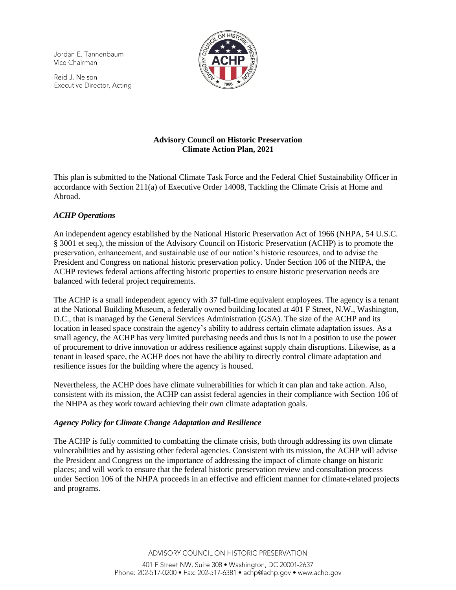Jordan E. Tannenbaum Vice Chairman

Reid J. Nelson Executive Director, Acting



# **Advisory Council on Historic Preservation Climate Action Plan, 2021**

This plan is submitted to the National Climate Task Force and the Federal Chief Sustainability Officer in accordance with Section 211(a) of Executive Order 14008, Tackling the Climate Crisis at Home and Abroad.

## *ACHP Operations*

An independent agency established by the National Historic Preservation Act of 1966 (NHPA, 54 U.S.C. § 3001 et seq.), the mission of the Advisory Council on Historic Preservation (ACHP) is to promote the preservation, enhancement, and sustainable use of our nation's historic resources, and to advise the President and Congress on national historic preservation policy. Under Section 106 of the NHPA, the ACHP reviews federal actions affecting historic properties to ensure historic preservation needs are balanced with federal project requirements.

The ACHP is a small independent agency with 37 full-time equivalent employees. The agency is a tenant at the National Building Museum, a federally owned building located at 401 F Street, N.W., Washington, D.C., that is managed by the General Services Administration (GSA). The size of the ACHP and its location in leased space constrain the agency's ability to address certain climate adaptation issues. As a small agency, the ACHP has very limited purchasing needs and thus is not in a position to use the power of procurement to drive innovation or address resilience against supply chain disruptions. Likewise, as a tenant in leased space, the ACHP does not have the ability to directly control climate adaptation and resilience issues for the building where the agency is housed.

Nevertheless, the ACHP does have climate vulnerabilities for which it can plan and take action. Also, consistent with its mission, the ACHP can assist federal agencies in their compliance with Section 106 of the NHPA as they work toward achieving their own climate adaptation goals.

## *Agency Policy for Climate Change Adaptation and Resilience*

The ACHP is fully committed to combatting the climate crisis, both through addressing its own climate vulnerabilities and by assisting other federal agencies. Consistent with its mission, the ACHP will advise the President and Congress on the importance of addressing the impact of climate change on historic places; and will work to ensure that the federal historic preservation review and consultation process under Section 106 of the NHPA proceeds in an effective and efficient manner for climate-related projects and programs.

ADVISORY COUNCIL ON HISTORIC PRESERVATION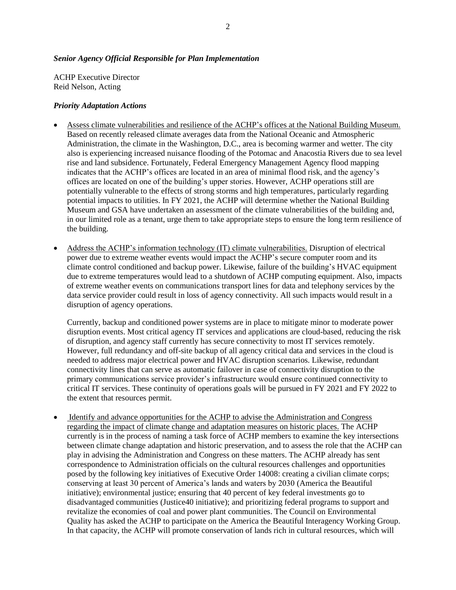### *Senior Agency Official Responsible for Plan Implementation*

ACHP Executive Director Reid Nelson, Acting

### *Priority Adaptation Actions*

- Assess climate vulnerabilities and resilience of the ACHP's offices at the National Building Museum. Based on recently released climate averages data from the National Oceanic and Atmospheric Administration, the climate in the Washington, D.C., area is becoming warmer and wetter. The city also is experiencing increased nuisance flooding of the Potomac and Anacostia Rivers due to sea level rise and land subsidence. Fortunately, Federal Emergency Management Agency flood mapping indicates that the ACHP's offices are located in an area of minimal flood risk, and the agency's offices are located on one of the building's upper stories. However, ACHP operations still are potentially vulnerable to the effects of strong storms and high temperatures, particularly regarding potential impacts to utilities. In FY 2021, the ACHP will determine whether the National Building Museum and GSA have undertaken an assessment of the climate vulnerabilities of the building and, in our limited role as a tenant, urge them to take appropriate steps to ensure the long term resilience of the building.
- Address the ACHP's information technology (IT) climate vulnerabilities. Disruption of electrical power due to extreme weather events would impact the ACHP's secure computer room and its climate control conditioned and backup power. Likewise, failure of the building's HVAC equipment due to extreme temperatures would lead to a shutdown of ACHP computing equipment. Also, impacts of extreme weather events on communications transport lines for data and telephony services by the data service provider could result in loss of agency connectivity. All such impacts would result in a disruption of agency operations.

Currently, backup and conditioned power systems are in place to mitigate minor to moderate power disruption events. Most critical agency IT services and applications are cloud-based, reducing the risk of disruption, and agency staff currently has secure connectivity to most IT services remotely. However, full redundancy and off-site backup of all agency critical data and services in the cloud is needed to address major electrical power and HVAC disruption scenarios. Likewise, redundant connectivity lines that can serve as automatic failover in case of connectivity disruption to the primary communications service provider's infrastructure would ensure continued connectivity to critical IT services. These continuity of operations goals will be pursued in FY 2021 and FY 2022 to the extent that resources permit.

• Identify and advance opportunities for the ACHP to advise the Administration and Congress regarding the impact of climate change and adaptation measures on historic places. The ACHP currently is in the process of naming a task force of ACHP members to examine the key intersections between climate change adaptation and historic preservation, and to assess the role that the ACHP can play in advising the Administration and Congress on these matters. The ACHP already has sent correspondence to Administration officials on the cultural resources challenges and opportunities posed by the following key initiatives of Executive Order 14008: creating a civilian climate corps; conserving at least 30 percent of America's lands and waters by 2030 (America the Beautiful initiative); environmental justice; ensuring that 40 percent of key federal investments go to disadvantaged communities (Justice40 initiative); and prioritizing federal programs to support and revitalize the economies of coal and power plant communities. The Council on Environmental Quality has asked the ACHP to participate on the America the Beautiful Interagency Working Group. In that capacity, the ACHP will promote conservation of lands rich in cultural resources, which will